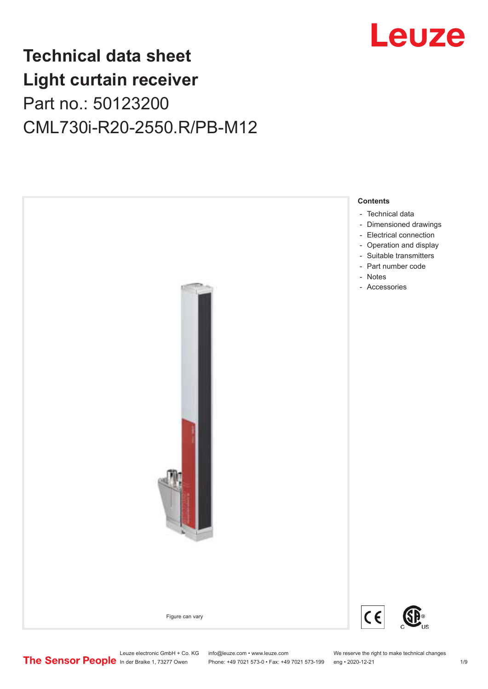

## **Technical data sheet Light curtain receiver** Part no.: 50123200 CML730i-R20-2550.R/PB-M12



Leuze electronic GmbH + Co. KG info@leuze.com • www.leuze.com We reserve the right to make technical changes<br>
The Sensor People in der Braike 1, 73277 Owen Phone: +49 7021 573-0 • Fax: +49 7021 573-199 eng • 2020-12-21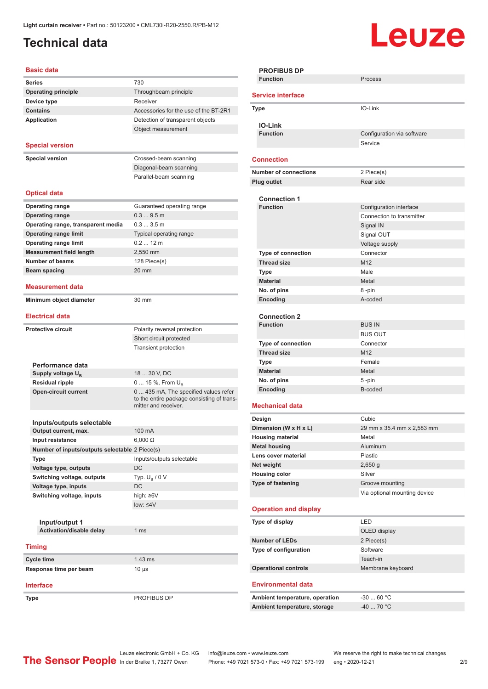Ŷ.

### <span id="page-1-0"></span>**Technical data**

# Leuze

#### **Basic data**

| Series                                         | 730                                        |
|------------------------------------------------|--------------------------------------------|
| <b>Operating principle</b>                     | Throughbeam principle                      |
| Device type                                    | Receiver                                   |
| <b>Contains</b>                                | Accessories for the use of the BT-2R1      |
| <b>Application</b>                             | Detection of transparent objects           |
|                                                | Object measurement                         |
|                                                |                                            |
| <b>Special version</b>                         |                                            |
| <b>Special version</b>                         | Crossed-beam scanning                      |
|                                                | Diagonal-beam scanning                     |
|                                                | Parallel-beam scanning                     |
|                                                |                                            |
| <b>Optical data</b>                            |                                            |
| <b>Operating range</b>                         | Guaranteed operating range                 |
| <b>Operating range</b>                         | $0.39.5$ m                                 |
| Operating range, transparent media             | 0.33.5m                                    |
| <b>Operating range limit</b>                   | Typical operating range                    |
| <b>Operating range limit</b>                   | $0.212$ m                                  |
| <b>Measurement field length</b>                | 2.550 mm                                   |
| <b>Number of beams</b>                         | 128 Piece(s)                               |
| Beam spacing                                   | 20 mm                                      |
|                                                |                                            |
| Measurement data                               |                                            |
| Minimum object diameter                        | 30 mm                                      |
|                                                |                                            |
| <b>Electrical data</b>                         |                                            |
| <b>Protective circuit</b>                      | Polarity reversal protection               |
|                                                | Short circuit protected                    |
|                                                | <b>Transient protection</b>                |
|                                                |                                            |
| Performance data                               |                                            |
| Supply voltage $U_{B}$                         | 18  30 V, DC                               |
| <b>Residual ripple</b>                         | 0  15 %, From $U_{\rm B}$                  |
| <b>Open-circuit current</b>                    | 0  435 mA, The specified values refer      |
|                                                | to the entire package consisting of trans- |
|                                                | mitter and receiver.                       |
| Inputs/outputs selectable                      |                                            |
| Output current, max.                           | 100 mA                                     |
| Input resistance                               | $6,000$ $\Omega$                           |
| Number of inputs/outputs selectable 2 Piece(s) |                                            |
| <b>Type</b>                                    | Inputs/outputs selectable                  |
| Voltage type, outputs                          | DC                                         |
| Switching voltage, outputs                     | Typ. $U_R / 0 V$                           |
| Voltage type, inputs                           | DC                                         |
| Switching voltage, inputs                      | high: ≥6V                                  |
|                                                | $low: 4V$                                  |
|                                                |                                            |
| Input/output 1                                 |                                            |
| Activation/disable delay                       | 1 <sub>ms</sub>                            |
|                                                |                                            |
| <b>Timing</b>                                  |                                            |
| Cycle time                                     | 1.43 ms                                    |
| Response time per beam                         | 10 µs                                      |
|                                                |                                            |
| Interface                                      |                                            |
| Type                                           | PROFIBUS DP                                |

| <b>PROFIBUS DP</b>                 |                              |  |
|------------------------------------|------------------------------|--|
| <b>Function</b>                    | Process                      |  |
| <b>Service interface</b>           |                              |  |
| Type                               | IO-Link                      |  |
| <b>IO-Link</b>                     |                              |  |
| <b>Function</b>                    | Configuration via software   |  |
|                                    | Service                      |  |
|                                    |                              |  |
| <b>Connection</b>                  |                              |  |
| <b>Number of connections</b>       | 2 Piece(s)                   |  |
| Plug outlet                        | Rear side                    |  |
| <b>Connection 1</b>                |                              |  |
| <b>Function</b>                    | Configuration interface      |  |
|                                    | Connection to transmitter    |  |
|                                    | Signal IN                    |  |
|                                    | Signal OUT                   |  |
|                                    | Voltage supply               |  |
| <b>Type of connection</b>          | Connector                    |  |
| <b>Thread size</b>                 | M12                          |  |
|                                    | Male                         |  |
| <b>Type</b>                        |                              |  |
| <b>Material</b>                    | Metal                        |  |
| No. of pins                        | 8-pin<br>A-coded             |  |
| Encoding                           |                              |  |
| <b>Connection 2</b>                |                              |  |
| <b>Function</b>                    | <b>BUS IN</b>                |  |
|                                    | <b>BUS OUT</b>               |  |
| Type of connection                 | Connector                    |  |
| <b>Thread size</b>                 | M12                          |  |
| Type                               | Female                       |  |
| <b>Material</b>                    | Metal                        |  |
| No. of pins                        | 5 -pin                       |  |
| Encoding                           | B-coded                      |  |
|                                    |                              |  |
| <b>Mechanical data</b>             |                              |  |
| Design                             | Cubic                        |  |
| Dimension (W x H x L)              | 29 mm x 35.4 mm x 2.583 mm   |  |
| <b>Housing material</b>            | Metal                        |  |
| <b>Metal housing</b>               | Aluminum                     |  |
| Lens cover material                | Plastic                      |  |
| Net weight<br><b>Housing color</b> | 2,650 g                      |  |
| <b>Type of fastening</b>           | Silver<br>Groove mounting    |  |
|                                    | Via optional mounting device |  |
|                                    |                              |  |
| <b>Operation and display</b>       |                              |  |
| Type of display                    | LED                          |  |
|                                    | OLED display                 |  |
| <b>Number of LEDs</b>              | 2 Piece(s)                   |  |
| Type of configuration              | Software                     |  |
|                                    | Teach-in                     |  |
| <b>Operational controls</b>        | Membrane keyboard            |  |
|                                    |                              |  |
| Environmental data                 |                              |  |
| Ambient temperature, operation     | $-3060 °C$                   |  |
| Ambient temperature, storage       | $-40$ 70 °C                  |  |
|                                    |                              |  |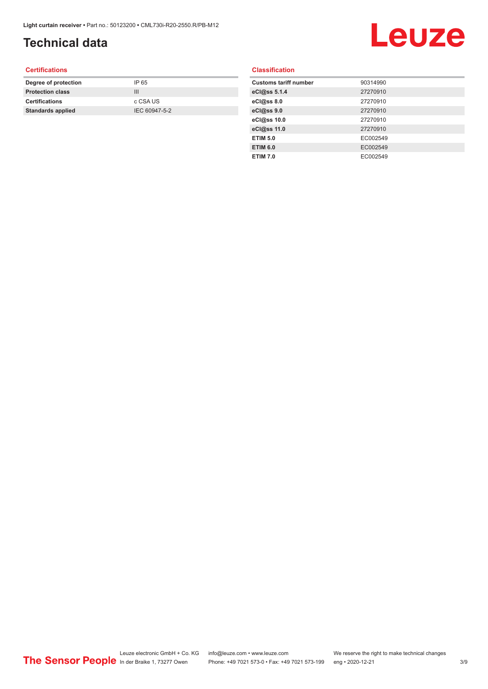### **Technical data**

## Leuze

#### **Certifications**

| Degree of protection     | IP 65         |
|--------------------------|---------------|
| <b>Protection class</b>  | Ш             |
| <b>Certifications</b>    | c CSA US      |
| <b>Standards applied</b> | IEC 60947-5-2 |
|                          |               |

#### **Classification**

| <b>Customs tariff number</b> | 90314990 |
|------------------------------|----------|
| eCl@ss 5.1.4                 | 27270910 |
| eCl@ss 8.0                   | 27270910 |
| eCl@ss 9.0                   | 27270910 |
| eCl@ss 10.0                  | 27270910 |
| eCl@ss 11.0                  | 27270910 |
| <b>ETIM 5.0</b>              | EC002549 |
| <b>ETIM 6.0</b>              | EC002549 |
| <b>ETIM 7.0</b>              | EC002549 |
|                              |          |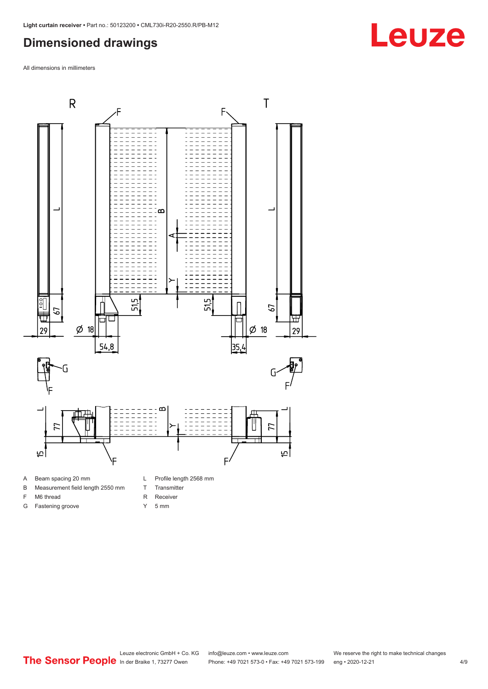#### <span id="page-3-0"></span>**Dimensioned drawings**

All dimensions in millimeters



- A Beam spacing 20 mm
- B Measurement field length 2550 mm
- F M6 thread
- G Fastening groove
- L Profile length 2568 mm
- T Transmitter
- R Receiver
- Y 5 mm

**Leuze**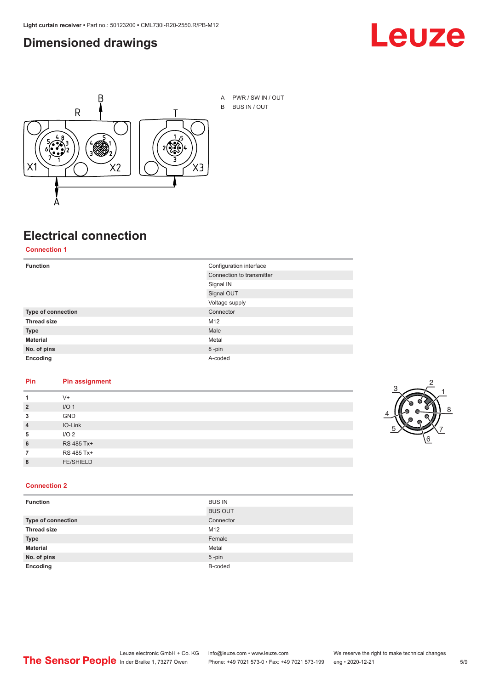#### <span id="page-4-0"></span>**Dimensioned drawings**





A PWR / SW IN / OUT B BUS IN / OUT

## **Electrical connection**

**Connection 1**

| <b>Function</b>    | Configuration interface   |
|--------------------|---------------------------|
|                    | Connection to transmitter |
|                    | Signal IN                 |
|                    | Signal OUT                |
|                    | Voltage supply            |
| Type of connection | Connector                 |
| <b>Thread size</b> | M12                       |
| <b>Type</b>        | Male                      |
| <b>Material</b>    | Metal                     |
| No. of pins        | 8-pin                     |
| Encoding           | A-coded                   |

#### **Pin Pin assignment**

| 1              | $V +$            |  |  |
|----------------|------------------|--|--|
| $\overline{2}$ | I/O <sub>1</sub> |  |  |
| 3              | <b>GND</b>       |  |  |
| $\overline{4}$ | IO-Link          |  |  |
| 5              | I/O <sub>2</sub> |  |  |
| 6              | RS 485 Tx+       |  |  |
| 7              | RS 485 Tx+       |  |  |
| 8              | <b>FE/SHIELD</b> |  |  |
|                |                  |  |  |



#### **Connection 2**

| <b>Function</b>    | <b>BUS IN</b>  |
|--------------------|----------------|
|                    | <b>BUS OUT</b> |
| Type of connection | Connector      |
| <b>Thread size</b> | M12            |
| <b>Type</b>        | Female         |
| <b>Material</b>    | Metal          |
| No. of pins        | $5 - pin$      |
| Encoding           | B-coded        |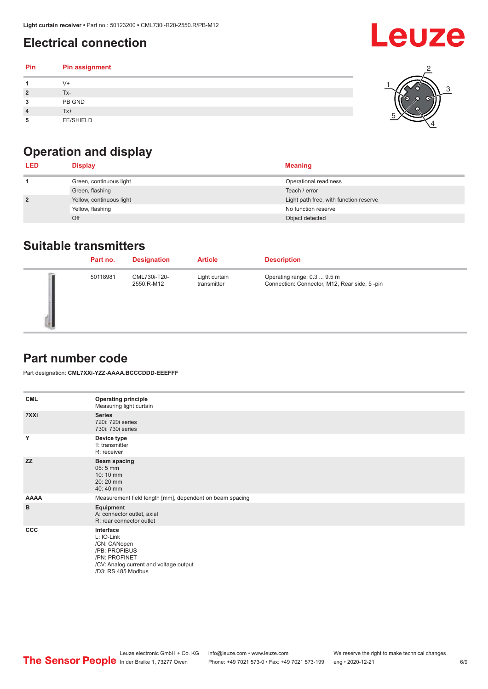### <span id="page-5-0"></span>**Electrical connection**

#### **Pin Pin assignment 1** V+ **2** Tx-**3** PB GND **4** Tx+ **5** FE/SHIELD 3 2 1 5 4



| <b>LED</b>     | <b>Display</b>           | <b>Meaning</b>                         |
|----------------|--------------------------|----------------------------------------|
|                | Green, continuous light  | Operational readiness                  |
|                | Green, flashing          | Teach / error                          |
| $\overline{2}$ | Yellow, continuous light | Light path free, with function reserve |
|                | Yellow, flashing         | No function reserve                    |
|                | Off                      | Object detected                        |

#### **Suitable transmitters**

| Part no. | <b>Designation</b>         | <b>Article</b>               | <b>Description</b>                                                          |
|----------|----------------------------|------------------------------|-----------------------------------------------------------------------------|
| 50118981 | CML730i-T20-<br>2550.R-M12 | Light curtain<br>transmitter | Operating range: 0.3  9.5 m<br>Connection: Connector, M12, Rear side, 5-pin |

### **Part number code**

Part designation: **CML7XXi-YZZ-AAAA.BCCCDDD-EEEFFF**

| <b>CML</b>  | <b>Operating principle</b><br>Measuring light curtain                                                                                     |
|-------------|-------------------------------------------------------------------------------------------------------------------------------------------|
| 7XXi        | <b>Series</b><br>720i: 720i series<br>730i: 730i series                                                                                   |
| Y           | Device type<br>T: transmitter<br>R: receiver                                                                                              |
| <b>ZZ</b>   | <b>Beam spacing</b><br>05:5 mm<br>10:10 mm<br>20:20 mm<br>40:40 mm                                                                        |
| <b>AAAA</b> | Measurement field length [mm], dependent on beam spacing                                                                                  |
| в           | Equipment<br>A: connector outlet, axial<br>R: rear connector outlet                                                                       |
| <b>CCC</b>  | Interface<br>L: IO-Link<br>/CN: CANopen<br>/PB: PROFIBUS<br>/PN: PROFINET<br>/CV: Analog current and voltage output<br>/D3: RS 485 Modbus |



**Leuze**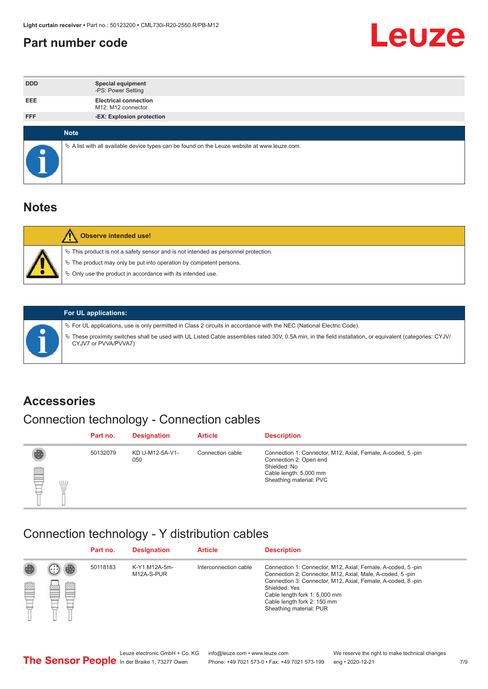#### <span id="page-6-0"></span>**Part number code**



| <b>DDD</b>  | <b>Special equipment</b><br>-PS: Power Setting                                                  |
|-------------|-------------------------------------------------------------------------------------------------|
| <b>EEE</b>  | <b>Electrical connection</b><br>M12: M12 connector                                              |
| <b>FFF</b>  | -EX: Explosion protection                                                                       |
| <b>Note</b> |                                                                                                 |
|             | $\&$ A list with all available device types can be found on the Leuze website at www.leuze.com. |

#### **Notes**

| Observe intended use!                                                                                                                                                                                                            |
|----------------------------------------------------------------------------------------------------------------------------------------------------------------------------------------------------------------------------------|
| $\%$ This product is not a safety sensor and is not intended as personnel protection.<br>$\%$ The product may only be put into operation by competent persons.<br>$\%$ Only use the product in accordance with its intended use. |
|                                                                                                                                                                                                                                  |



#### **For UL applications:**

ª For UL applications, use is only permitted in Class 2 circuits in accordance with the NEC (National Electric Code). ª These proximity switches shall be used with UL Listed Cable assemblies rated 30V, 0.5A min, in the field installation, or equivalent (categories: CYJV/ CYJV7 or PVVA/PVVA7)

#### **Accessories**

### Connection technology - Connection cables

|        | Part no. | <b>Designation</b>     | <b>Article</b>   | <b>Description</b>                                                                                                                                         |
|--------|----------|------------------------|------------------|------------------------------------------------------------------------------------------------------------------------------------------------------------|
| 2<br>W | 50132079 | KD U-M12-5A-V1-<br>050 | Connection cable | Connection 1: Connector, M12, Axial, Female, A-coded, 5-pin<br>Connection 2: Open end<br>Shielded: No<br>Cable length: 5,000 mm<br>Sheathing material: PVC |

#### Connection technology - Y distribution cables

|        |   | Part no. | <b>Designation</b>          | <b>Article</b>        | <b>Description</b>                                                                                                                                                                                                                                                                                  |
|--------|---|----------|-----------------------------|-----------------------|-----------------------------------------------------------------------------------------------------------------------------------------------------------------------------------------------------------------------------------------------------------------------------------------------------|
| 圔<br>⋿ | Ø | 50118183 | K-Y1 M12A-5m-<br>M12A-S-PUR | Interconnection cable | Connection 1: Connector, M12, Axial, Female, A-coded, 5-pin<br>Connection 2: Connector, M12, Axial, Male, A-coded, 5-pin<br>Connection 3: Connector, M12, Axial, Female, A-coded, 8-pin<br>Shielded: Yes<br>Cable length fork 1: 5,000 mm<br>Cable length fork 2: 150 mm<br>Sheathing material: PUR |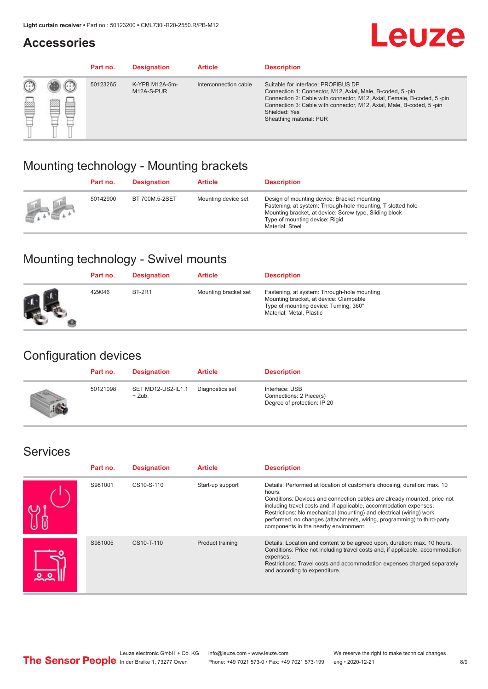#### **Accessories**

## **Leuze**

|   |            | Part no. | <b>Designation</b>           | <b>Article</b>        | <b>Description</b>                                                                                                                                                                                                                                                                             |
|---|------------|----------|------------------------------|-----------------------|------------------------------------------------------------------------------------------------------------------------------------------------------------------------------------------------------------------------------------------------------------------------------------------------|
| œ | 83<br>toni | 50123265 | K-YPB M12A-5m-<br>M12A-S-PUR | Interconnection cable | Suitable for interface: PROFIBUS DP<br>Connection 1: Connector, M12, Axial, Male, B-coded, 5-pin<br>Connection 2: Cable with connector, M12, Axial, Female, B-coded, 5-pin<br>Connection 3: Cable with connector, M12, Axial, Male, B-coded, 5-pin<br>Shielded: Yes<br>Sheathing material: PUR |

### Mounting technology - Mounting brackets

|               | Part no. | <b>Designation</b> | <b>Article</b>      | <b>Description</b>                                                                                                                                                                                                        |
|---------------|----------|--------------------|---------------------|---------------------------------------------------------------------------------------------------------------------------------------------------------------------------------------------------------------------------|
| $\frac{1}{2}$ | 50142900 | BT 700M.5-2SET     | Mounting device set | Design of mounting device: Bracket mounting<br>Fastening, at system: Through-hole mounting, T slotted hole<br>Mounting bracket, at device: Screw type, Sliding block<br>Type of mounting device: Rigid<br>Material: Steel |

### Mounting technology - Swivel mounts

| Part no. | <b>Designation</b> | <b>Article</b>       | <b>Description</b>                                                                                                                                          |
|----------|--------------------|----------------------|-------------------------------------------------------------------------------------------------------------------------------------------------------------|
| 429046   | <b>BT-2R1</b>      | Mounting bracket set | Fastening, at system: Through-hole mounting<br>Mounting bracket, at device: Clampable<br>Type of mounting device: Turning, 360°<br>Material: Metal, Plastic |

### Configuration devices

| Part no. | <b>Designation</b>             | <b>Article</b>  | <b>Description</b>                                                       |
|----------|--------------------------------|-----------------|--------------------------------------------------------------------------|
| 50121098 | SET MD12-US2-IL1.1<br>$+$ Zub. | Diagnostics set | Interface: USB<br>Connections: 2 Piece(s)<br>Degree of protection: IP 20 |

#### Services

| Part no. | <b>Designation</b> | <b>Article</b>   | <b>Description</b>                                                                                                                                                                                                                                                                                                                                                                                                              |
|----------|--------------------|------------------|---------------------------------------------------------------------------------------------------------------------------------------------------------------------------------------------------------------------------------------------------------------------------------------------------------------------------------------------------------------------------------------------------------------------------------|
| S981001  | CS10-S-110         | Start-up support | Details: Performed at location of customer's choosing, duration: max. 10<br>hours.<br>Conditions: Devices and connection cables are already mounted, price not<br>including travel costs and, if applicable, accommodation expenses.<br>Restrictions: No mechanical (mounting) and electrical (wiring) work<br>performed, no changes (attachments, wiring, programming) to third-party<br>components in the nearby environment. |
| S981005  | CS10-T-110         | Product training | Details: Location and content to be agreed upon, duration: max. 10 hours.<br>Conditions: Price not including travel costs and, if applicable, accommodation<br>expenses.<br>Restrictions: Travel costs and accommodation expenses charged separately<br>and according to expenditure.                                                                                                                                           |